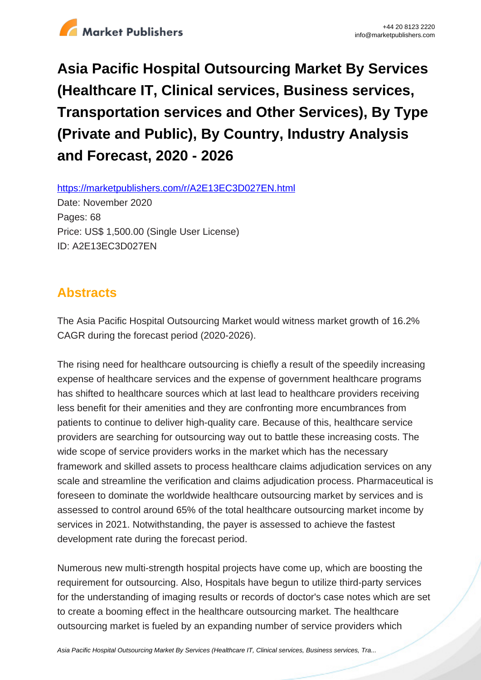

# **Asia Pacific Hospital Outsourcing Market By Services (Healthcare IT, Clinical services, Business services, Transportation services and Other Services), By Type (Private and Public), By Country, Industry Analysis and Forecast, 2020 - 2026**

https://marketpublishers.com/r/A2E13EC3D027EN.html

Date: November 2020 Pages: 68 Price: US\$ 1,500.00 (Single User License) ID: A2E13EC3D027EN

### **Abstracts**

The Asia Pacific Hospital Outsourcing Market would witness market growth of 16.2% CAGR during the forecast period (2020-2026).

The rising need for healthcare outsourcing is chiefly a result of the speedily increasing expense of healthcare services and the expense of government healthcare programs has shifted to healthcare sources which at last lead to healthcare providers receiving less benefit for their amenities and they are confronting more encumbrances from patients to continue to deliver high-quality care. Because of this, healthcare service providers are searching for outsourcing way out to battle these increasing costs. The wide scope of service providers works in the market which has the necessary framework and skilled assets to process healthcare claims adjudication services on any scale and streamline the verification and claims adjudication process. Pharmaceutical is foreseen to dominate the worldwide healthcare outsourcing market by services and is assessed to control around 65% of the total healthcare outsourcing market income by services in 2021. Notwithstanding, the payer is assessed to achieve the fastest development rate during the forecast period.

Numerous new multi-strength hospital projects have come up, which are boosting the requirement for outsourcing. Also, Hospitals have begun to utilize third-party services for the understanding of imaging results or records of doctor's case notes which are set to create a booming effect in the healthcare outsourcing market. The healthcare outsourcing market is fueled by an expanding number of service providers which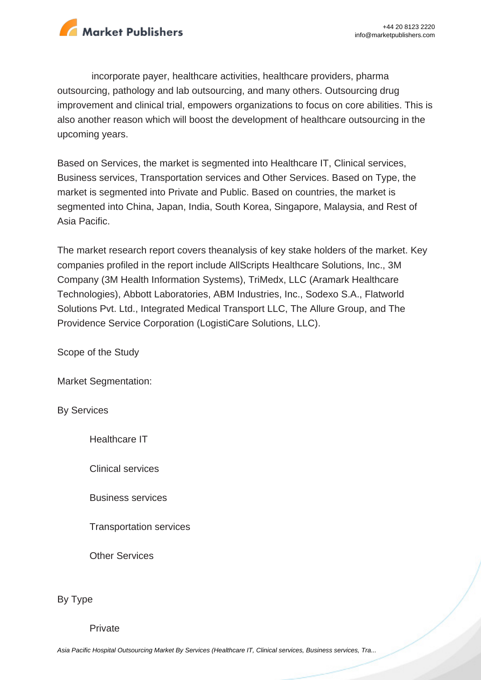

incorporate payer, healthcare activities, healthcare providers, pharma outsourcing, pathology and lab outsourcing, and many others. Outsourcing drug improvement and clinical trial, empowers organizations to focus on core abilities. This is also another reason which will boost the development of healthcare outsourcing in the upcoming years.

Based on Services, the market is segmented into Healthcare IT, Clinical services, Business services, Transportation services and Other Services. Based on Type, the market is segmented into Private and Public. Based on countries, the market is segmented into China, Japan, India, South Korea, Singapore, Malaysia, and Rest of Asia Pacific.

The market research report covers theanalysis of key stake holders of the market. Key companies profiled in the report include AllScripts Healthcare Solutions, Inc., 3M Company (3M Health Information Systems), TriMedx, LLC (Aramark Healthcare Technologies), Abbott Laboratories, ABM Industries, Inc., Sodexo S.A., Flatworld Solutions Pvt. Ltd., Integrated Medical Transport LLC, The Allure Group, and The Providence Service Corporation (LogistiCare Solutions, LLC).

Scope of the Study

Market Segmentation:

By Services

Healthcare IT

Clinical services

Business services

Transportation services

Other Services

By Type

Private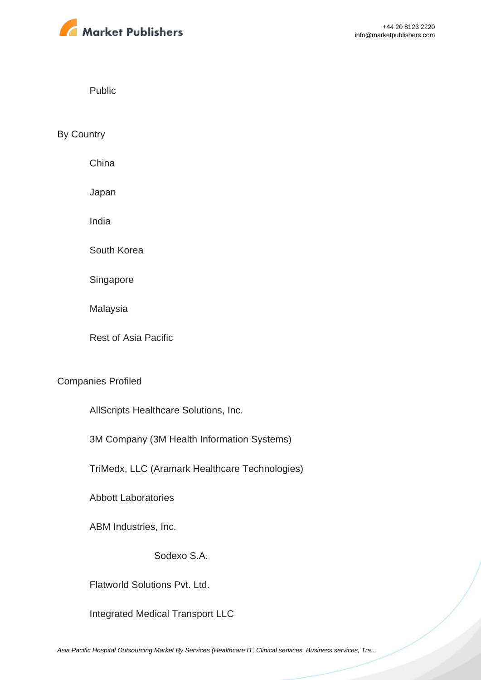

Public

By Country

China

Japan

India

South Korea

Singapore

Malaysia

Rest of Asia Pacific

#### Companies Profiled

AllScripts Healthcare Solutions, Inc.

3M Company (3M Health Information Systems)

TriMedx, LLC (Aramark Healthcare Technologies)

Abbott Laboratories

ABM Industries, Inc.

Sodexo S.A.

Flatworld Solutions Pvt. Ltd.

Integrated Medical Transport LLC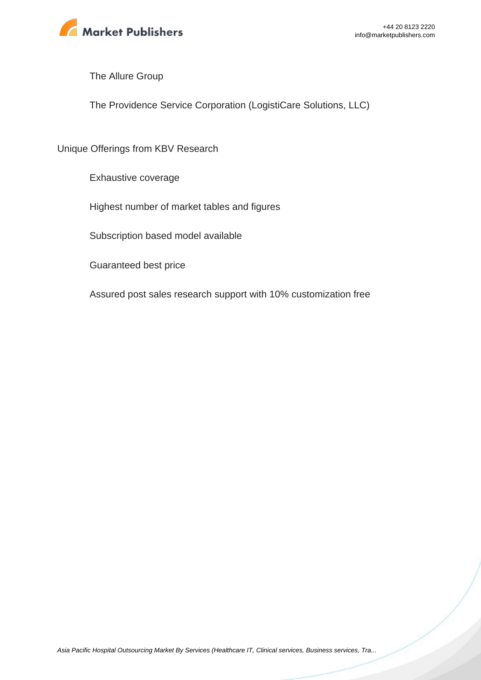

The Allure Group

The Providence Service Corporation (LogistiCare Solutions, LLC)

Unique Offerings from KBV Research

Exhaustive coverage

Highest number of market tables and figures

Subscription based model available

Guaranteed best price

Assured post sales research support with 10% customization free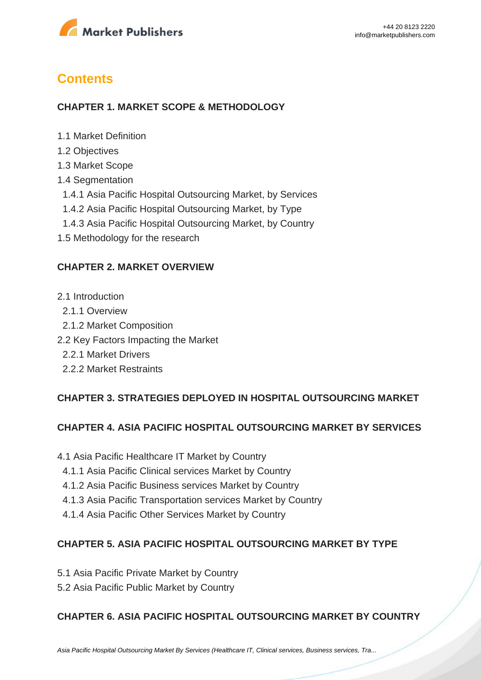

### **Contents**

#### **CHAPTER 1. MARKET SCOPE & METHODOLOGY**

- 1.1 Market Definition
- 1.2 Objectives
- 1.3 Market Scope
- 1.4 Segmentation
- 1.4.1 Asia Pacific Hospital Outsourcing Market, by Services
- 1.4.2 Asia Pacific Hospital Outsourcing Market, by Type
- 1.4.3 Asia Pacific Hospital Outsourcing Market, by Country
- 1.5 Methodology for the research

#### **CHAPTER 2. MARKET OVERVIEW**

- 2.1 Introduction
	- 2.1.1 Overview
	- 2.1.2 Market Composition
- 2.2 Key Factors Impacting the Market
	- 2.2.1 Market Drivers
	- 2.2.2 Market Restraints

#### **CHAPTER 3. STRATEGIES DEPLOYED IN HOSPITAL OUTSOURCING MARKET**

#### **CHAPTER 4. ASIA PACIFIC HOSPITAL OUTSOURCING MARKET BY SERVICES**

- 4.1 Asia Pacific Healthcare IT Market by Country
- 4.1.1 Asia Pacific Clinical services Market by Country
- 4.1.2 Asia Pacific Business services Market by Country
- 4.1.3 Asia Pacific Transportation services Market by Country
- 4.1.4 Asia Pacific Other Services Market by Country

#### **CHAPTER 5. ASIA PACIFIC HOSPITAL OUTSOURCING MARKET BY TYPE**

- 5.1 Asia Pacific Private Market by Country
- 5.2 Asia Pacific Public Market by Country

#### **CHAPTER 6. ASIA PACIFIC HOSPITAL OUTSOURCING MARKET BY COUNTRY**

[Asia Pacific Hospital Outsourcing Market By Services \(Healthcare IT, Clinical services, Business services, Tra...](https://marketpublishers.com/report/healthcare/hospital/asia-pacific-hospital-outsourcing-market-by-services-by-type-by-country-industry-analysis-n-forecast-2020-2026.html)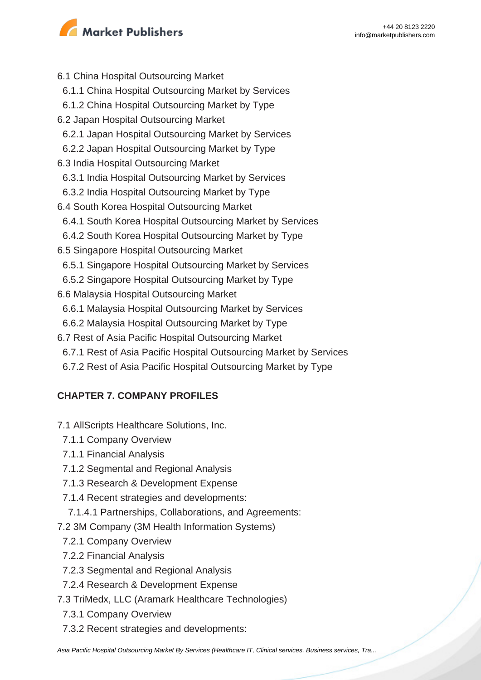

- 6.1 China Hospital Outsourcing Market 6.1.1 China Hospital Outsourcing Market by Services 6.1.2 China Hospital Outsourcing Market by Type 6.2 Japan Hospital Outsourcing Market 6.2.1 Japan Hospital Outsourcing Market by Services 6.2.2 Japan Hospital Outsourcing Market by Type 6.3 India Hospital Outsourcing Market 6.3.1 India Hospital Outsourcing Market by Services 6.3.2 India Hospital Outsourcing Market by Type 6.4 South Korea Hospital Outsourcing Market 6.4.1 South Korea Hospital Outsourcing Market by Services 6.4.2 South Korea Hospital Outsourcing Market by Type 6.5 Singapore Hospital Outsourcing Market 6.5.1 Singapore Hospital Outsourcing Market by Services 6.5.2 Singapore Hospital Outsourcing Market by Type 6.6 Malaysia Hospital Outsourcing Market 6.6.1 Malaysia Hospital Outsourcing Market by Services 6.6.2 Malaysia Hospital Outsourcing Market by Type 6.7 Rest of Asia Pacific Hospital Outsourcing Market
- 6.7.1 Rest of Asia Pacific Hospital Outsourcing Market by Services
- 6.7.2 Rest of Asia Pacific Hospital Outsourcing Market by Type

### **CHAPTER 7. COMPANY PROFILES**

- 7.1 AllScripts Healthcare Solutions, Inc.
	- 7.1.1 Company Overview
	- 7.1.1 Financial Analysis
	- 7.1.2 Segmental and Regional Analysis
	- 7.1.3 Research & Development Expense
	- 7.1.4 Recent strategies and developments:
	- 7.1.4.1 Partnerships, Collaborations, and Agreements:
- 7.2 3M Company (3M Health Information Systems)
	- 7.2.1 Company Overview
	- 7.2.2 Financial Analysis
	- 7.2.3 Segmental and Regional Analysis
	- 7.2.4 Research & Development Expense
- 7.3 TriMedx, LLC (Aramark Healthcare Technologies)
- 7.3.1 Company Overview
- 7.3.2 Recent strategies and developments: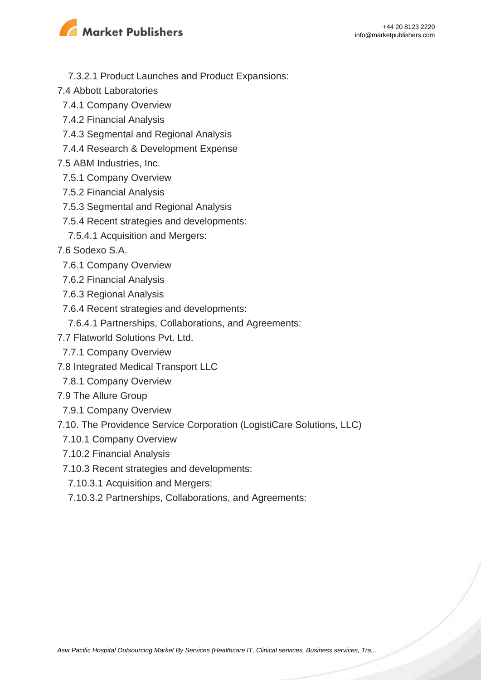

- 7.3.2.1 Product Launches and Product Expansions:
- 7.4 Abbott Laboratories
	- 7.4.1 Company Overview
	- 7.4.2 Financial Analysis
	- 7.4.3 Segmental and Regional Analysis
	- 7.4.4 Research & Development Expense
- 7.5 ABM Industries, Inc.
- 7.5.1 Company Overview
- 7.5.2 Financial Analysis
- 7.5.3 Segmental and Regional Analysis
- 7.5.4 Recent strategies and developments:
- 7.5.4.1 Acquisition and Mergers:
- 7.6 Sodexo S.A.
	- 7.6.1 Company Overview
- 7.6.2 Financial Analysis
- 7.6.3 Regional Analysis
- 7.6.4 Recent strategies and developments:
	- 7.6.4.1 Partnerships, Collaborations, and Agreements:
- 7.7 Flatworld Solutions Pvt. Ltd.
- 7.7.1 Company Overview
- 7.8 Integrated Medical Transport LLC
- 7.8.1 Company Overview
- 7.9 The Allure Group
- 7.9.1 Company Overview
- 7.10. The Providence Service Corporation (LogistiCare Solutions, LLC)
	- 7.10.1 Company Overview
	- 7.10.2 Financial Analysis
	- 7.10.3 Recent strategies and developments:
	- 7.10.3.1 Acquisition and Mergers:
	- 7.10.3.2 Partnerships, Collaborations, and Agreements: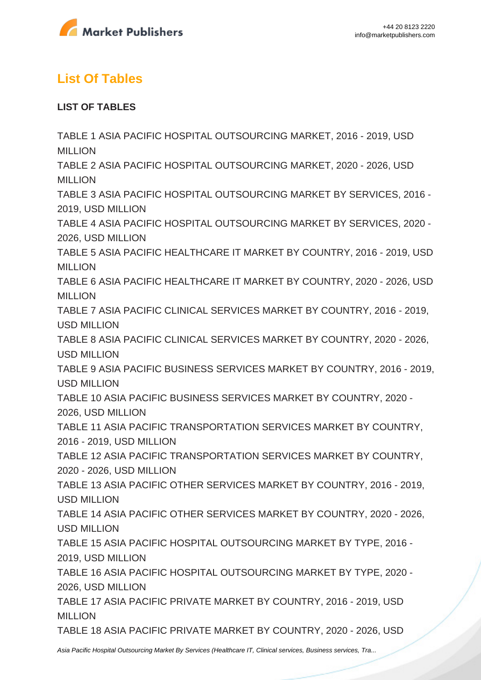

### **List Of Tables**

#### **LIST OF TABLES**

TABLE 1 ASIA PACIFIC HOSPITAL OUTSOURCING MARKET, 2016 - 2019, USD **MILLION** TABLE 2 ASIA PACIFIC HOSPITAL OUTSOURCING MARKET, 2020 - 2026, USD MILLION TABLE 3 ASIA PACIFIC HOSPITAL OUTSOURCING MARKET BY SERVICES, 2016 - 2019, USD MILLION TABLE 4 ASIA PACIFIC HOSPITAL OUTSOURCING MARKET BY SERVICES, 2020 - 2026, USD MILLION TABLE 5 ASIA PACIFIC HEALTHCARE IT MARKET BY COUNTRY, 2016 - 2019, USD MILLION TABLE 6 ASIA PACIFIC HEALTHCARE IT MARKET BY COUNTRY, 2020 - 2026, USD **MILLION** TABLE 7 ASIA PACIFIC CLINICAL SERVICES MARKET BY COUNTRY, 2016 - 2019, USD MILLION TABLE 8 ASIA PACIFIC CLINICAL SERVICES MARKET BY COUNTRY, 2020 - 2026, USD MILLION TABLE 9 ASIA PACIFIC BUSINESS SERVICES MARKET BY COUNTRY, 2016 - 2019, USD MILLION TABLE 10 ASIA PACIFIC BUSINESS SERVICES MARKET BY COUNTRY, 2020 - 2026, USD MILLION TABLE 11 ASIA PACIFIC TRANSPORTATION SERVICES MARKET BY COUNTRY, 2016 - 2019, USD MILLION TABLE 12 ASIA PACIFIC TRANSPORTATION SERVICES MARKET BY COUNTRY, 2020 - 2026, USD MILLION TABLE 13 ASIA PACIFIC OTHER SERVICES MARKET BY COUNTRY, 2016 - 2019, USD MILLION TABLE 14 ASIA PACIFIC OTHER SERVICES MARKET BY COUNTRY, 2020 - 2026, USD MILLION TABLE 15 ASIA PACIFIC HOSPITAL OUTSOURCING MARKET BY TYPE, 2016 - 2019, USD MILLION TABLE 16 ASIA PACIFIC HOSPITAL OUTSOURCING MARKET BY TYPE, 2020 - 2026, USD MILLION TABLE 17 ASIA PACIFIC PRIVATE MARKET BY COUNTRY, 2016 - 2019, USD MILLION TABLE 18 ASIA PACIFIC PRIVATE MARKET BY COUNTRY, 2020 - 2026, USD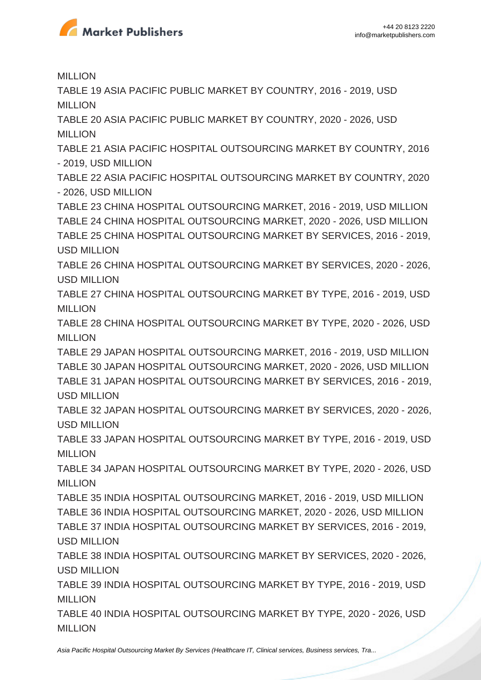

**MILLION** 

TABLE 19 ASIA PACIFIC PUBLIC MARKET BY COUNTRY, 2016 - 2019, USD MILLION

TABLE 20 ASIA PACIFIC PUBLIC MARKET BY COUNTRY, 2020 - 2026, USD MILLION

TABLE 21 ASIA PACIFIC HOSPITAL OUTSOURCING MARKET BY COUNTRY, 2016 - 2019, USD MILLION

TABLE 22 ASIA PACIFIC HOSPITAL OUTSOURCING MARKET BY COUNTRY, 2020 - 2026, USD MILLION

TABLE 23 CHINA HOSPITAL OUTSOURCING MARKET, 2016 - 2019, USD MILLION TABLE 24 CHINA HOSPITAL OUTSOURCING MARKET, 2020 - 2026, USD MILLION TABLE 25 CHINA HOSPITAL OUTSOURCING MARKET BY SERVICES, 2016 - 2019, USD MILLION

TABLE 26 CHINA HOSPITAL OUTSOURCING MARKET BY SERVICES, 2020 - 2026, USD MILLION

TABLE 27 CHINA HOSPITAL OUTSOURCING MARKET BY TYPE, 2016 - 2019, USD MILLION

TABLE 28 CHINA HOSPITAL OUTSOURCING MARKET BY TYPE, 2020 - 2026, USD MILLION

TABLE 29 JAPAN HOSPITAL OUTSOURCING MARKET, 2016 - 2019, USD MILLION TABLE 30 JAPAN HOSPITAL OUTSOURCING MARKET, 2020 - 2026, USD MILLION TABLE 31 JAPAN HOSPITAL OUTSOURCING MARKET BY SERVICES, 2016 - 2019, USD MILLION

TABLE 32 JAPAN HOSPITAL OUTSOURCING MARKET BY SERVICES, 2020 - 2026, USD MILLION

TABLE 33 JAPAN HOSPITAL OUTSOURCING MARKET BY TYPE, 2016 - 2019, USD MILLION

TABLE 34 JAPAN HOSPITAL OUTSOURCING MARKET BY TYPE, 2020 - 2026, USD MILLION

TABLE 35 INDIA HOSPITAL OUTSOURCING MARKET, 2016 - 2019, USD MILLION TABLE 36 INDIA HOSPITAL OUTSOURCING MARKET, 2020 - 2026, USD MILLION TABLE 37 INDIA HOSPITAL OUTSOURCING MARKET BY SERVICES, 2016 - 2019, USD MILLION

TABLE 38 INDIA HOSPITAL OUTSOURCING MARKET BY SERVICES, 2020 - 2026, USD MILLION

TABLE 39 INDIA HOSPITAL OUTSOURCING MARKET BY TYPE, 2016 - 2019, USD MILLION

TABLE 40 INDIA HOSPITAL OUTSOURCING MARKET BY TYPE, 2020 - 2026, USD MILLION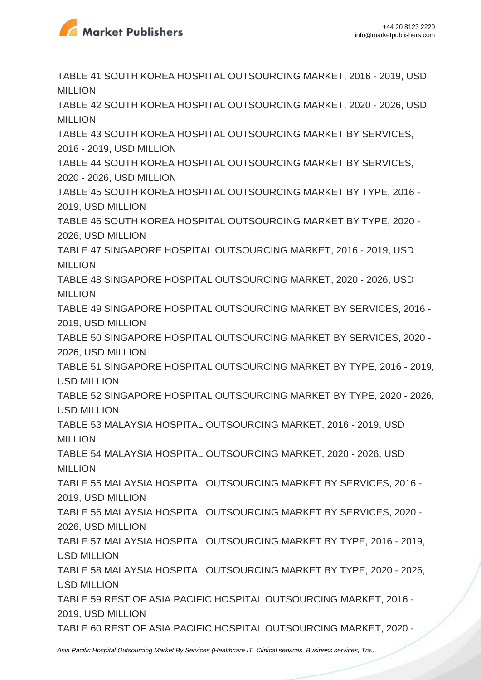

TABLE 41 SOUTH KOREA HOSPITAL OUTSOURCING MARKET, 2016 - 2019, USD MILLION

TABLE 42 SOUTH KOREA HOSPITAL OUTSOURCING MARKET, 2020 - 2026, USD MILLION

TABLE 43 SOUTH KOREA HOSPITAL OUTSOURCING MARKET BY SERVICES, 2016 - 2019, USD MILLION

TABLE 44 SOUTH KOREA HOSPITAL OUTSOURCING MARKET BY SERVICES, 2020 - 2026, USD MILLION

TABLE 45 SOUTH KOREA HOSPITAL OUTSOURCING MARKET BY TYPE, 2016 - 2019, USD MILLION

TABLE 46 SOUTH KOREA HOSPITAL OUTSOURCING MARKET BY TYPE, 2020 - 2026, USD MILLION

TABLE 47 SINGAPORE HOSPITAL OUTSOURCING MARKET, 2016 - 2019, USD MILLION

TABLE 48 SINGAPORE HOSPITAL OUTSOURCING MARKET, 2020 - 2026, USD MILLION

TABLE 49 SINGAPORE HOSPITAL OUTSOURCING MARKET BY SERVICES, 2016 - 2019, USD MILLION

TABLE 50 SINGAPORE HOSPITAL OUTSOURCING MARKET BY SERVICES, 2020 - 2026, USD MILLION

TABLE 51 SINGAPORE HOSPITAL OUTSOURCING MARKET BY TYPE, 2016 - 2019, USD MILLION

TABLE 52 SINGAPORE HOSPITAL OUTSOURCING MARKET BY TYPE, 2020 - 2026, USD MILLION

TABLE 53 MALAYSIA HOSPITAL OUTSOURCING MARKET, 2016 - 2019, USD MILLION

TABLE 54 MALAYSIA HOSPITAL OUTSOURCING MARKET, 2020 - 2026, USD MILLION

TABLE 55 MALAYSIA HOSPITAL OUTSOURCING MARKET BY SERVICES, 2016 - 2019, USD MILLION

TABLE 56 MALAYSIA HOSPITAL OUTSOURCING MARKET BY SERVICES, 2020 - 2026, USD MILLION

TABLE 57 MALAYSIA HOSPITAL OUTSOURCING MARKET BY TYPE, 2016 - 2019, USD MILLION

TABLE 58 MALAYSIA HOSPITAL OUTSOURCING MARKET BY TYPE, 2020 - 2026, USD MILLION

TABLE 59 REST OF ASIA PACIFIC HOSPITAL OUTSOURCING MARKET, 2016 - 2019, USD MILLION

TABLE 60 REST OF ASIA PACIFIC HOSPITAL OUTSOURCING MARKET, 2020 -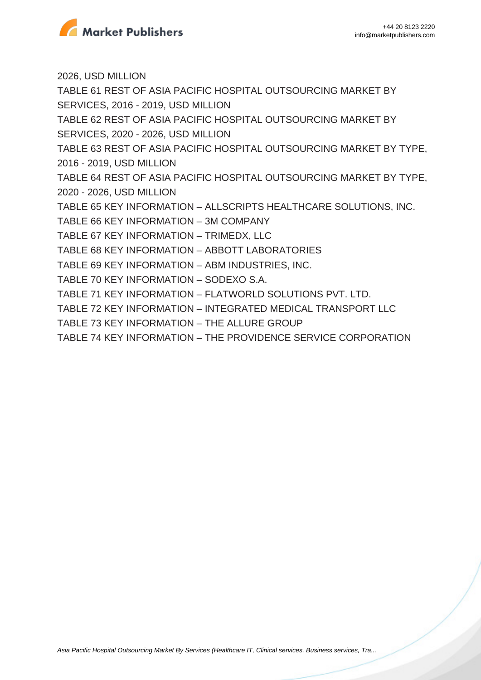

2026, USD MILLION TABLE 61 REST OF ASIA PACIFIC HOSPITAL OUTSOURCING MARKET BY SERVICES, 2016 - 2019, USD MILLION TABLE 62 REST OF ASIA PACIFIC HOSPITAL OUTSOURCING MARKET BY SERVICES, 2020 - 2026, USD MILLION TABLE 63 REST OF ASIA PACIFIC HOSPITAL OUTSOURCING MARKET BY TYPE, 2016 - 2019, USD MILLION TABLE 64 REST OF ASIA PACIFIC HOSPITAL OUTSOURCING MARKET BY TYPE, 2020 - 2026, USD MILLION TABLE 65 KEY INFORMATION – ALLSCRIPTS HEALTHCARE SOLUTIONS, INC. TABLE 66 KEY INFORMATION – 3M COMPANY TABLE 67 KEY INFORMATION – TRIMEDX, LLC TABLE 68 KEY INFORMATION – ABBOTT LABORATORIES TABLE 69 KEY INFORMATION – ABM INDUSTRIES, INC. TABLE 70 KEY INFORMATION – SODEXO S.A. TABLE 71 KEY INFORMATION – FLATWORLD SOLUTIONS PVT. LTD. TABLE 72 KEY INFORMATION – INTEGRATED MEDICAL TRANSPORT LLC TABLE 73 KEY INFORMATION – THE ALLURE GROUP TABLE 74 KEY INFORMATION – THE PROVIDENCE SERVICE CORPORATION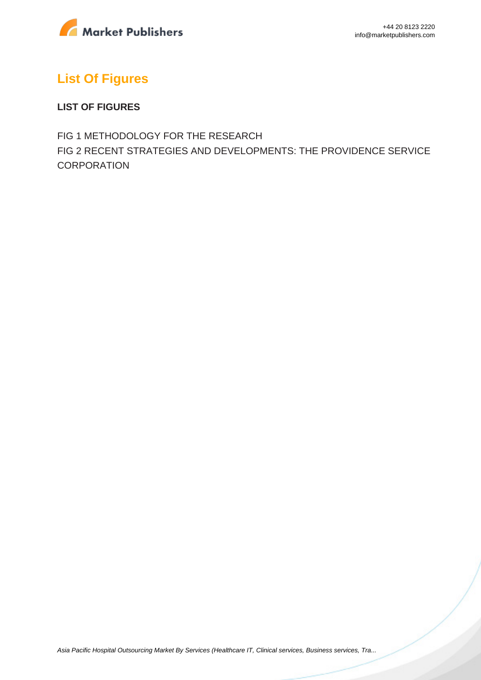

## **List Of Figures**

#### **LIST OF FIGURES**

FIG 1 METHODOLOGY FOR THE RESEARCH FIG 2 RECENT STRATEGIES AND DEVELOPMENTS: THE PROVIDENCE SERVICE **CORPORATION**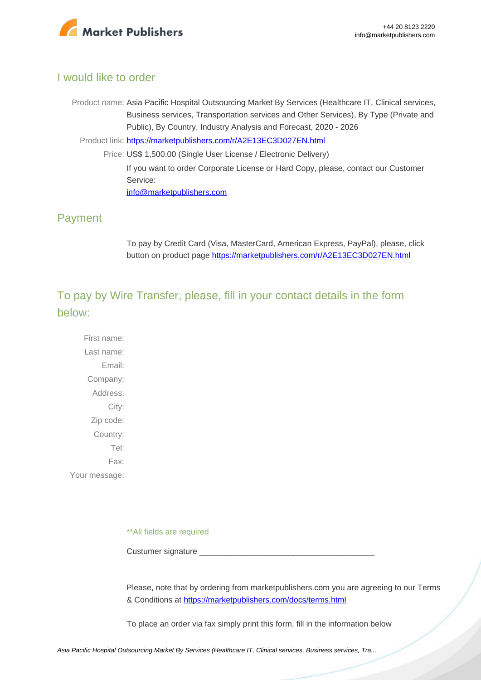

#### I would like to order

Product name: Asia Pacific Hospital Outsourcing Market By Services (Healthcare IT, Clinical services, Business services, Transportation services and Other Services), By Type (Private and Public), By Country, Industry Analysis and Forecast, 2020 - 2026

Product link: [https://marketpublishers.com/r/A2E13EC3D027EN.html](https://marketpublishers.com/report/healthcare/hospital/asia-pacific-hospital-outsourcing-market-by-services-by-type-by-country-industry-analysis-n-forecast-2020-2026.html)

Price: US\$ 1,500.00 (Single User License / Electronic Delivery) If you want to order Corporate License or Hard Copy, please, contact our Customer Service: [info@marketpublishers.com](mailto:info@marketpublishers.com)

#### Payment

To pay by Credit Card (Visa, MasterCard, American Express, PayPal), please, click button on product page [https://marketpublishers.com/r/A2E13EC3D027EN.html](https://marketpublishers.com/report/healthcare/hospital/asia-pacific-hospital-outsourcing-market-by-services-by-type-by-country-industry-analysis-n-forecast-2020-2026.html)

To pay by Wire Transfer, please, fill in your contact details in the form below:

First name: Last name: Email: Company: Address: City: Zip code: Country: Tel: Fax: Your message:

\*\*All fields are required

Custumer signature \_

Please, note that by ordering from marketpublishers.com you are agreeing to our Terms & Conditions at<https://marketpublishers.com/docs/terms.html>

To place an order via fax simply print this form, fill in the information below